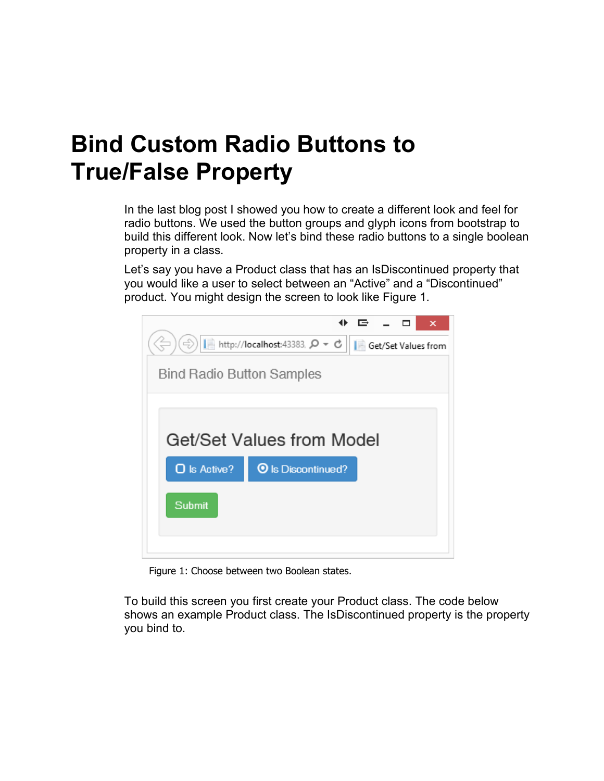## **Bind Custom Radio Buttons to True/False Property**

In the last blog post I showed you how to create a different look and feel for radio buttons. We used the button groups and glyph icons from bootstrap to build this different look. Now let's bind these radio buttons to a single boolean property in a class.

Let's say you have a Product class that has an IsDiscontinued property that you would like a user to select between an "Active" and a "Discontinued" product. You might design the screen to look like Figure 1.



Figure 1: Choose between two Boolean states.

To build this screen you first create your Product class. The code below shows an example Product class. The IsDiscontinued property is the property you bind to.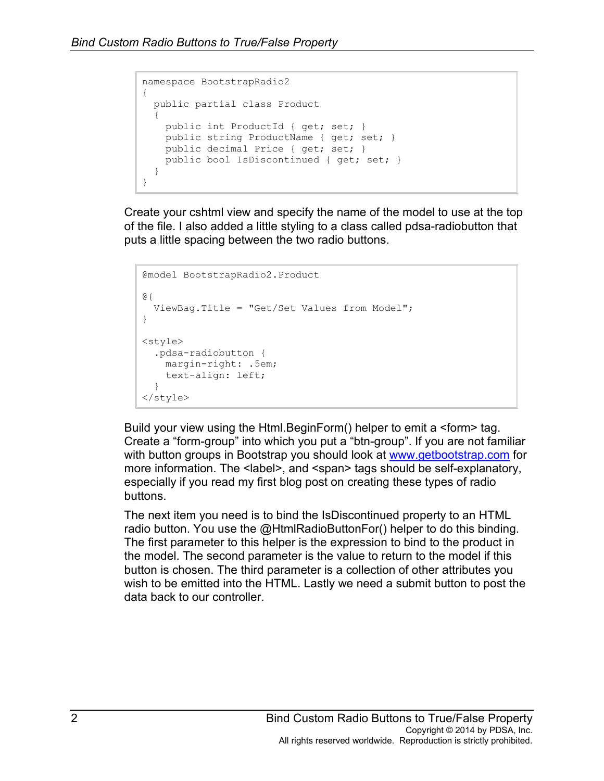```
namespace BootstrapRadio2
{
  public partial class Product
\{ public int ProductId { get; set; }
    public string ProductName { get; set; }
    public decimal Price { get; set; }
    public bool IsDiscontinued { get; set; }
  }
}
```
Create your cshtml view and specify the name of the model to use at the top of the file. I also added a little styling to a class called pdsa-radiobutton that puts a little spacing between the two radio buttons.

```
@model BootstrapRadio2.Product
@{
   ViewBag.Title = "Get/Set Values from Model";
}
<style>
  .pdsa-radiobutton {
    margin-right: .5em;
    text-align: left;
  }
</style>
```
Build your view using the Html.BeginForm() helper to emit a <form> tag. Create a "form-group" into which you put a "btn-group". If you are not familiar with button groups in Bootstrap you should look at [www.getbootstrap.com](http://www.getbootstrap.com/) for more information. The <label>, and <span> tags should be self-explanatory, especially if you read my first blog post on creating these types of radio buttons.

The next item you need is to bind the IsDiscontinued property to an HTML radio button. You use the @HtmlRadioButtonFor() helper to do this binding. The first parameter to this helper is the expression to bind to the product in the model. The second parameter is the value to return to the model if this button is chosen. The third parameter is a collection of other attributes you wish to be emitted into the HTML. Lastly we need a submit button to post the data back to our controller.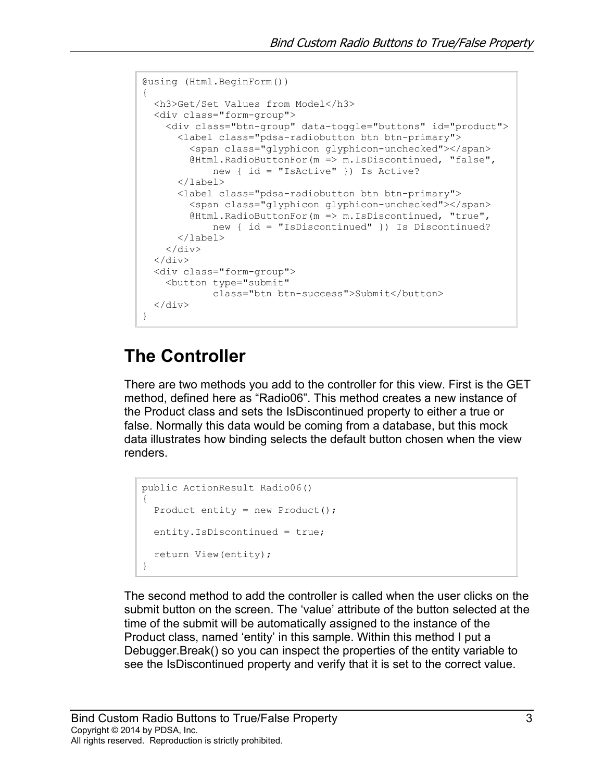```
@using (Html.BeginForm())
{
  <h3>Get/Set Values from Model</h3>
   <div class="form-group">
     <div class="btn-group" data-toggle="buttons" id="product">
       <label class="pdsa-radiobutton btn btn-primary">
         <span class="glyphicon glyphicon-unchecked"></span>
         @Html.RadioButtonFor(m => m.IsDiscontinued, "false",
             new { id = "IsActive" }) Is Active?
       </label>
       <label class="pdsa-radiobutton btn btn-primary">
         <span class="glyphicon glyphicon-unchecked"></span>
         @Html.RadioButtonFor(m => m.IsDiscontinued, "true",
             new { id = "IsDiscontinued" }) Is Discontinued?
       </label>
    \langlediv\rangle\langle div>
   <div class="form-group">
     <button type="submit" 
             class="btn btn-success">Submit</button>
   </div>
}
```
## **The Controller**

There are two methods you add to the controller for this view. First is the GET method, defined here as "Radio06". This method creates a new instance of the Product class and sets the IsDiscontinued property to either a true or false. Normally this data would be coming from a database, but this mock data illustrates how binding selects the default button chosen when the view renders.

```
public ActionResult Radio06()
{
 Product entity = new Product();
  entity.IsDiscontinued = true;
  return View(entity);
}
```
The second method to add the controller is called when the user clicks on the submit button on the screen. The 'value' attribute of the button selected at the time of the submit will be automatically assigned to the instance of the Product class, named 'entity' in this sample. Within this method I put a Debugger.Break() so you can inspect the properties of the entity variable to see the IsDiscontinued property and verify that it is set to the correct value.